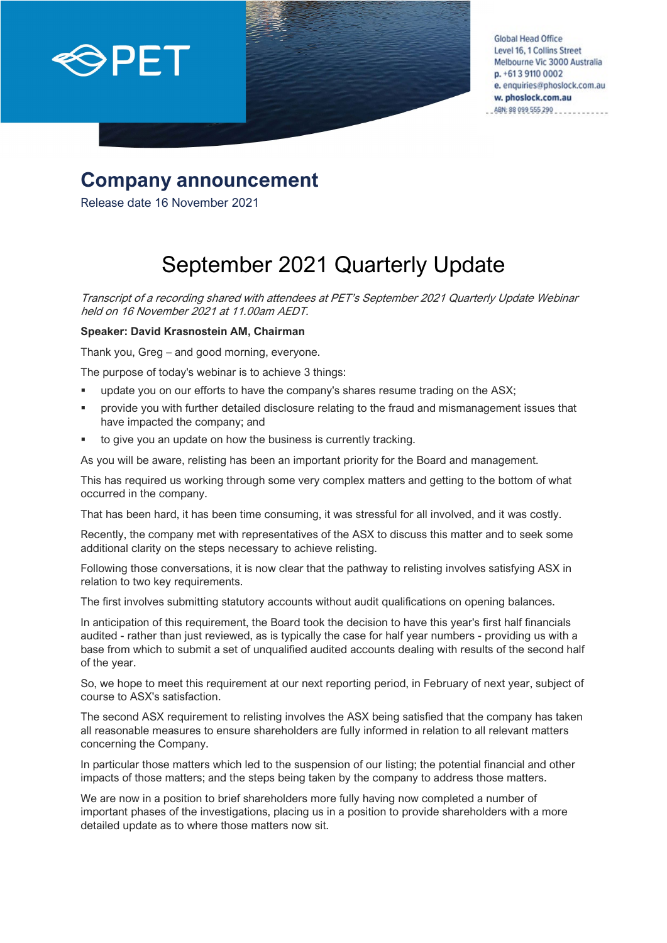

**Global Head Office** Level 16, 1 Collins Street Melbourne Vic 3000 Australia p. +613 9110 0002 e. enquiries@phoslock.com.au w. phoslock.com.au ABN: 88 099 555 290

# **Company announcement**

Release date 16 November 2021

# September 2021 Quarterly Update

Transcript of a recording shared with attendees at PET's September 2021 Quarterly Update Webinar held on 16 November 2021 at 11.00am AEDT.

### **Speaker: David Krasnostein AM, Chairman**

Thank you, Greg – and good morning, everyone.

The purpose of today's webinar is to achieve 3 things:

- update you on our efforts to have the company's shares resume trading on the ASX;
- provide you with further detailed disclosure relating to the fraud and mismanagement issues that have impacted the company; and
- to give you an update on how the business is currently tracking.

As you will be aware, relisting has been an important priority for the Board and management.

This has required us working through some very complex matters and getting to the bottom of what occurred in the company.

That has been hard, it has been time consuming, it was stressful for all involved, and it was costly.

Recently, the company met with representatives of the ASX to discuss this matter and to seek some additional clarity on the steps necessary to achieve relisting.

Following those conversations, it is now clear that the pathway to relisting involves satisfying ASX in relation to two key requirements.

The first involves submitting statutory accounts without audit qualifications on opening balances.

In anticipation of this requirement, the Board took the decision to have this year's first half financials audited - rather than just reviewed, as is typically the case for half year numbers - providing us with a base from which to submit a set of unqualified audited accounts dealing with results of the second half of the year.

So, we hope to meet this requirement at our next reporting period, in February of next year, subject of course to ASX's satisfaction.

The second ASX requirement to relisting involves the ASX being satisfied that the company has taken all reasonable measures to ensure shareholders are fully informed in relation to all relevant matters concerning the Company.

In particular those matters which led to the suspension of our listing; the potential financial and other impacts of those matters; and the steps being taken by the company to address those matters.

We are now in a position to brief shareholders more fully having now completed a number of important phases of the investigations, placing us in a position to provide shareholders with a more detailed update as to where those matters now sit.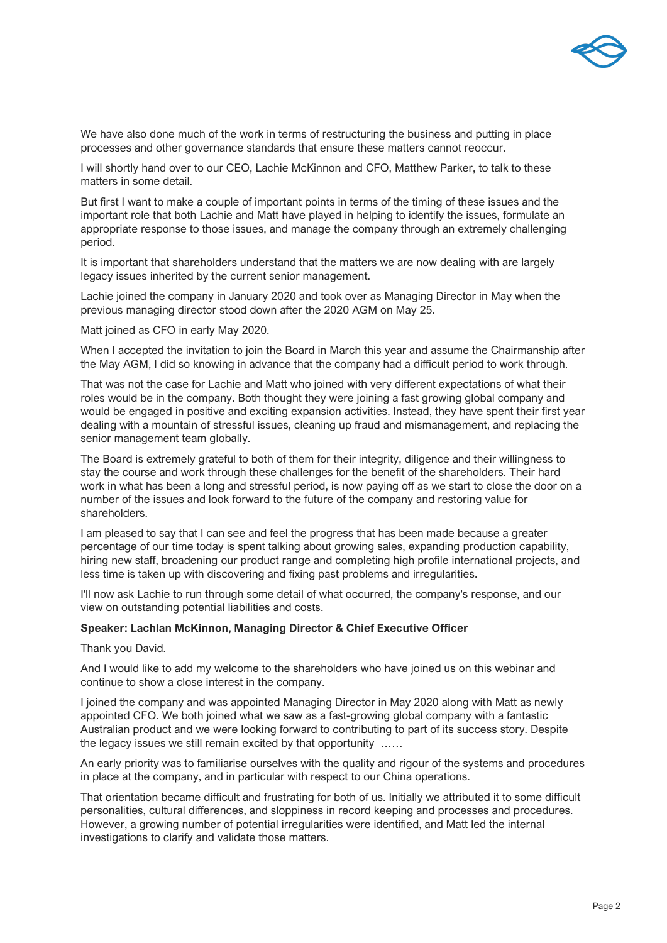

We have also done much of the work in terms of restructuring the business and putting in place processes and other governance standards that ensure these matters cannot reoccur.

I will shortly hand over to our CEO, Lachie McKinnon and CFO, Matthew Parker, to talk to these matters in some detail.

But first I want to make a couple of important points in terms of the timing of these issues and the important role that both Lachie and Matt have played in helping to identify the issues, formulate an appropriate response to those issues, and manage the company through an extremely challenging period.

It is important that shareholders understand that the matters we are now dealing with are largely legacy issues inherited by the current senior management.

Lachie joined the company in January 2020 and took over as Managing Director in May when the previous managing director stood down after the 2020 AGM on May 25.

Matt joined as CFO in early May 2020.

When I accepted the invitation to join the Board in March this year and assume the Chairmanship after the May AGM, I did so knowing in advance that the company had a difficult period to work through.

That was not the case for Lachie and Matt who joined with very different expectations of what their roles would be in the company. Both thought they were joining a fast growing global company and would be engaged in positive and exciting expansion activities. Instead, they have spent their first year dealing with a mountain of stressful issues, cleaning up fraud and mismanagement, and replacing the senior management team globally.

The Board is extremely grateful to both of them for their integrity, diligence and their willingness to stay the course and work through these challenges for the benefit of the shareholders. Their hard work in what has been a long and stressful period, is now paying off as we start to close the door on a number of the issues and look forward to the future of the company and restoring value for shareholders.

I am pleased to say that I can see and feel the progress that has been made because a greater percentage of our time today is spent talking about growing sales, expanding production capability, hiring new staff, broadening our product range and completing high profile international projects, and less time is taken up with discovering and fixing past problems and irregularities.

I'll now ask Lachie to run through some detail of what occurred, the company's response, and our view on outstanding potential liabilities and costs.

#### **Speaker: Lachlan McKinnon, Managing Director & Chief Executive Officer**

Thank you David.

And I would like to add my welcome to the shareholders who have joined us on this webinar and continue to show a close interest in the company.

I joined the company and was appointed Managing Director in May 2020 along with Matt as newly appointed CFO. We both joined what we saw as a fast-growing global company with a fantastic Australian product and we were looking forward to contributing to part of its success story. Despite the legacy issues we still remain excited by that opportunity ......

An early priority was to familiarise ourselves with the quality and rigour of the systems and procedures in place at the company, and in particular with respect to our China operations.

That orientation became difficult and frustrating for both of us. Initially we attributed it to some difficult personalities, cultural differences, and sloppiness in record keeping and processes and procedures. However, a growing number of potential irregularities were identified, and Matt led the internal investigations to clarify and validate those matters.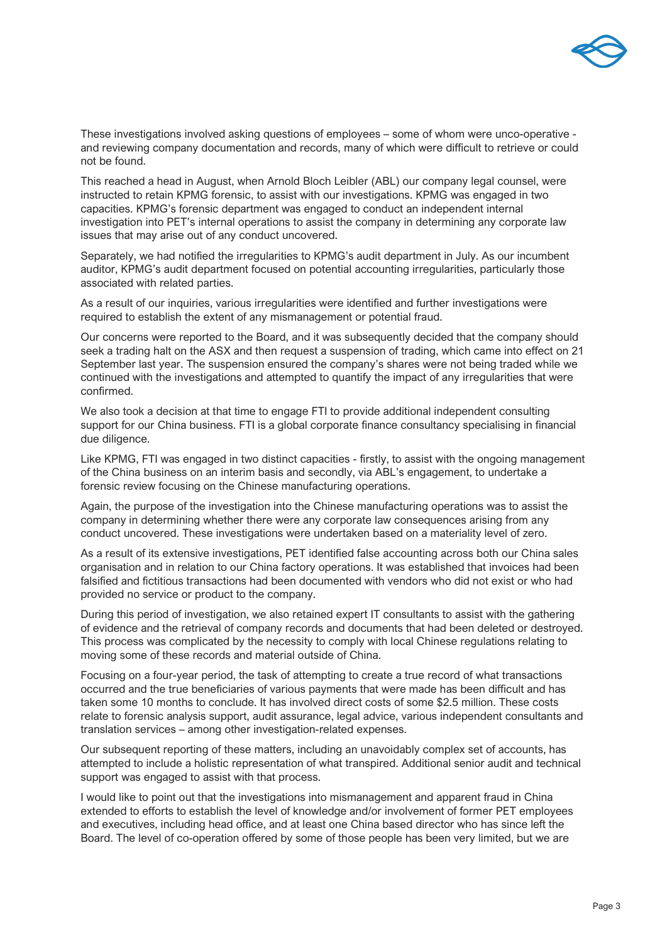

These investigations involved asking questions of employees – some of whom were unco-operative and reviewing company documentation and records, many of which were difficult to retrieve or could not be found.

This reached a head in August, when Arnold Bloch Leibler (ABL) our company legal counsel, were instructed to retain KPMG forensic, to assist with our investigations. KPMG was engaged in two capacities. KPMG's forensic department was engaged to conduct an independent internal investigation into PET's internal operations to assist the company in determining any corporate law issues that may arise out of any conduct uncovered.

Separately, we had notified the irregularities to KPMG's audit department in July. As our incumbent auditor, KPMG's audit department focused on potential accounting irregularities, particularly those associated with related parties.

As a result of our inquiries, various irregularities were identified and further investigations were required to establish the extent of any mismanagement or potential fraud.

Our concerns were reported to the Board, and it was subsequently decided that the company should seek a trading halt on the ASX and then request a suspension of trading, which came into effect on 21 September last year. The suspension ensured the company's shares were not being traded while we continued with the investigations and attempted to quantify the impact of any irregularities that were confirmed.

We also took a decision at that time to engage FTI to provide additional independent consulting support for our China business. FTI is a global corporate finance consultancy specialising in financial due diligence.

Like KPMG, FTI was engaged in two distinct capacities - firstly, to assist with the ongoing management of the China business on an interim basis and secondly, via ABL's engagement, to undertake a forensic review focusing on the Chinese manufacturing operations.

Again, the purpose of the investigation into the Chinese manufacturing operations was to assist the company in determining whether there were any corporate law consequences arising from any conduct uncovered. These investigations were undertaken based on a materiality level of zero.

As a result of its extensive investigations, PET identified false accounting across both our China sales organisation and in relation to our China factory operations. It was established that invoices had been falsified and fictitious transactions had been documented with vendors who did not exist or who had provided no service or product to the company.

During this period of investigation, we also retained expert IT consultants to assist with the gathering of evidence and the retrieval of company records and documents that had been deleted or destroyed. This process was complicated by the necessity to comply with local Chinese regulations relating to moving some of these records and material outside of China.

Focusing on a four-year period, the task of attempting to create a true record of what transactions occurred and the true beneficiaries of various payments that were made has been difficult and has taken some 10 months to conclude. It has involved direct costs of some \$2.5 million. These costs relate to forensic analysis support, audit assurance, legal advice, various independent consultants and translation services – among other investigation-related expenses.

Our subsequent reporting of these matters, including an unavoidably complex set of accounts, has attempted to include a holistic representation of what transpired. Additional senior audit and technical support was engaged to assist with that process.

I would like to point out that the investigations into mismanagement and apparent fraud in China extended to efforts to establish the level of knowledge and/or involvement of former PET employees and executives, including head office, and at least one China based director who has since left the Board. The level of co-operation offered by some of those people has been very limited, but we are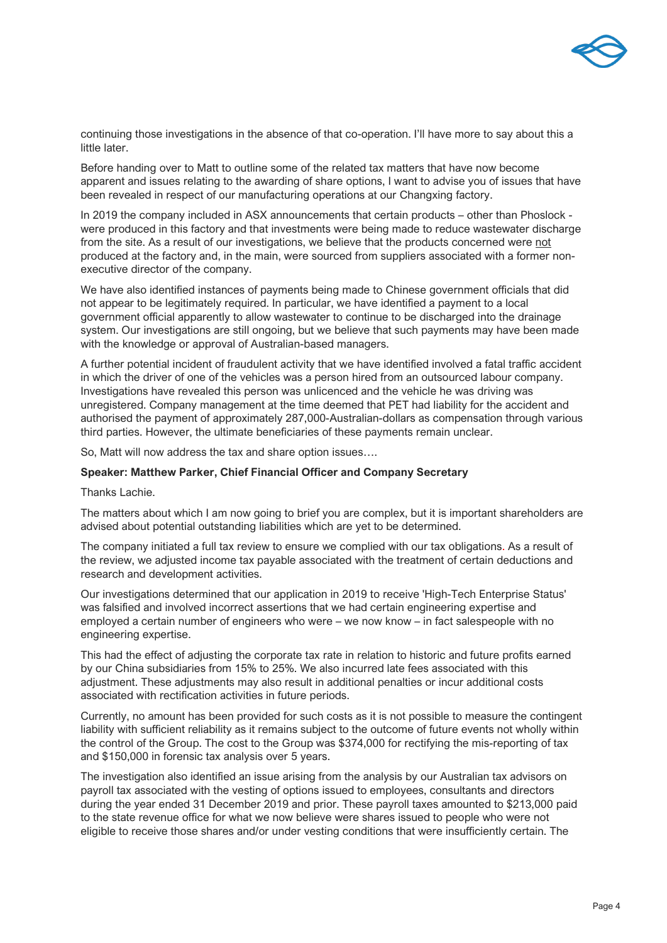

continuing those investigations in the absence of that co-operation. I'll have more to say about this a little later.

Before handing over to Matt to outline some of the related tax matters that have now become apparent and issues relating to the awarding of share options, I want to advise you of issues that have been revealed in respect of our manufacturing operations at our Changxing factory.

In 2019 the company included in ASX announcements that certain products – other than Phoslock were produced in this factory and that investments were being made to reduce wastewater discharge from the site. As a result of our investigations, we believe that the products concerned were not produced at the factory and, in the main, were sourced from suppliers associated with a former nonexecutive director of the company.

We have also identified instances of payments being made to Chinese government officials that did not appear to be legitimately required. In particular, we have identified a payment to a local government official apparently to allow wastewater to continue to be discharged into the drainage system. Our investigations are still ongoing, but we believe that such payments may have been made with the knowledge or approval of Australian-based managers.

A further potential incident of fraudulent activity that we have identified involved a fatal traffic accident in which the driver of one of the vehicles was a person hired from an outsourced labour company. Investigations have revealed this person was unlicenced and the vehicle he was driving was unregistered. Company management at the time deemed that PET had liability for the accident and authorised the payment of approximately 287,000-Australian-dollars as compensation through various third parties. However, the ultimate beneficiaries of these payments remain unclear.

So, Matt will now address the tax and share option issues….

#### **Speaker: Matthew Parker, Chief Financial Officer and Company Secretary**

Thanks Lachie.

The matters about which I am now going to brief you are complex, but it is important shareholders are advised about potential outstanding liabilities which are yet to be determined.

The company initiated a full tax review to ensure we complied with our tax obligations. As a result of the review, we adjusted income tax payable associated with the treatment of certain deductions and research and development activities.

Our investigations determined that our application in 2019 to receive 'High-Tech Enterprise Status' was falsified and involved incorrect assertions that we had certain engineering expertise and employed a certain number of engineers who were – we now know – in fact salespeople with no engineering expertise.

This had the effect of adjusting the corporate tax rate in relation to historic and future profits earned by our China subsidiaries from 15% to 25%. We also incurred late fees associated with this adjustment. These adjustments may also result in additional penalties or incur additional costs associated with rectification activities in future periods.

Currently, no amount has been provided for such costs as it is not possible to measure the contingent liability with sufficient reliability as it remains subject to the outcome of future events not wholly within the control of the Group. The cost to the Group was \$374,000 for rectifying the mis-reporting of tax and \$150,000 in forensic tax analysis over 5 years.

The investigation also identified an issue arising from the analysis by our Australian tax advisors on payroll tax associated with the vesting of options issued to employees, consultants and directors during the year ended 31 December 2019 and prior. These payroll taxes amounted to \$213,000 paid to the state revenue office for what we now believe were shares issued to people who were not eligible to receive those shares and/or under vesting conditions that were insufficiently certain. The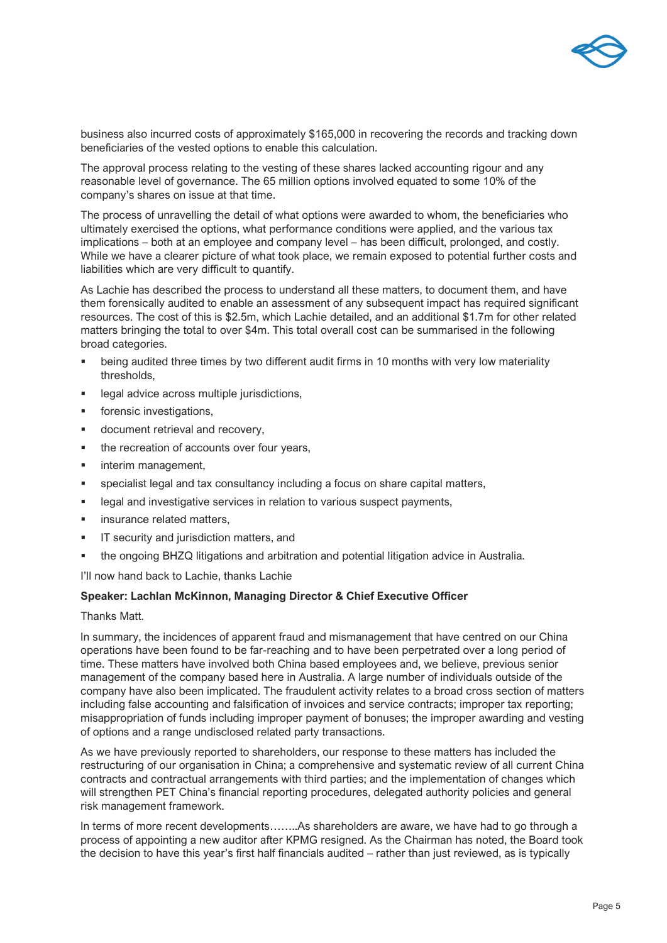

business also incurred costs of approximately \$165,000 in recovering the records and tracking down beneficiaries of the vested options to enable this calculation.

The approval process relating to the vesting of these shares lacked accounting rigour and any reasonable level of governance. The 65 million options involved equated to some 10% of the company's shares on issue at that time.

The process of unravelling the detail of what options were awarded to whom, the beneficiaries who ultimately exercised the options, what performance conditions were applied, and the various tax implications – both at an employee and company level – has been difficult, prolonged, and costly. While we have a clearer picture of what took place, we remain exposed to potential further costs and liabilities which are very difficult to quantify.

As Lachie has described the process to understand all these matters, to document them, and have them forensically audited to enable an assessment of any subsequent impact has required significant resources. The cost of this is \$2.5m, which Lachie detailed, and an additional \$1.7m for other related matters bringing the total to over \$4m. This total overall cost can be summarised in the following broad categories.

- being audited three times by two different audit firms in 10 months with very low materiality thresholds,
- legal advice across multiple jurisdictions,
- **•** forensic investigations.
- **document retrieval and recovery,**
- the recreation of accounts over four years,
- interim management,
- specialist legal and tax consultancy including a focus on share capital matters,
- **EXECTE 2018 Instigative services in relation to various suspect payments,**
- insurance related matters,
- **IF Security and jurisdiction matters, and**
- the ongoing BHZQ litigations and arbitration and potential litigation advice in Australia.

I'll now hand back to Lachie, thanks Lachie

#### **Speaker: Lachlan McKinnon, Managing Director & Chief Executive Officer**

Thanks Matt.

In summary, the incidences of apparent fraud and mismanagement that have centred on our China operations have been found to be far-reaching and to have been perpetrated over a long period of time. These matters have involved both China based employees and, we believe, previous senior management of the company based here in Australia. A large number of individuals outside of the company have also been implicated. The fraudulent activity relates to a broad cross section of matters including false accounting and falsification of invoices and service contracts; improper tax reporting; misappropriation of funds including improper payment of bonuses; the improper awarding and vesting of options and a range undisclosed related party transactions.

As we have previously reported to shareholders, our response to these matters has included the restructuring of our organisation in China; a comprehensive and systematic review of all current China contracts and contractual arrangements with third parties; and the implementation of changes which will strengthen PET China's financial reporting procedures, delegated authority policies and general risk management framework.

In terms of more recent developments……..As shareholders are aware, we have had to go through a process of appointing a new auditor after KPMG resigned. As the Chairman has noted, the Board took the decision to have this year's first half financials audited – rather than just reviewed, as is typically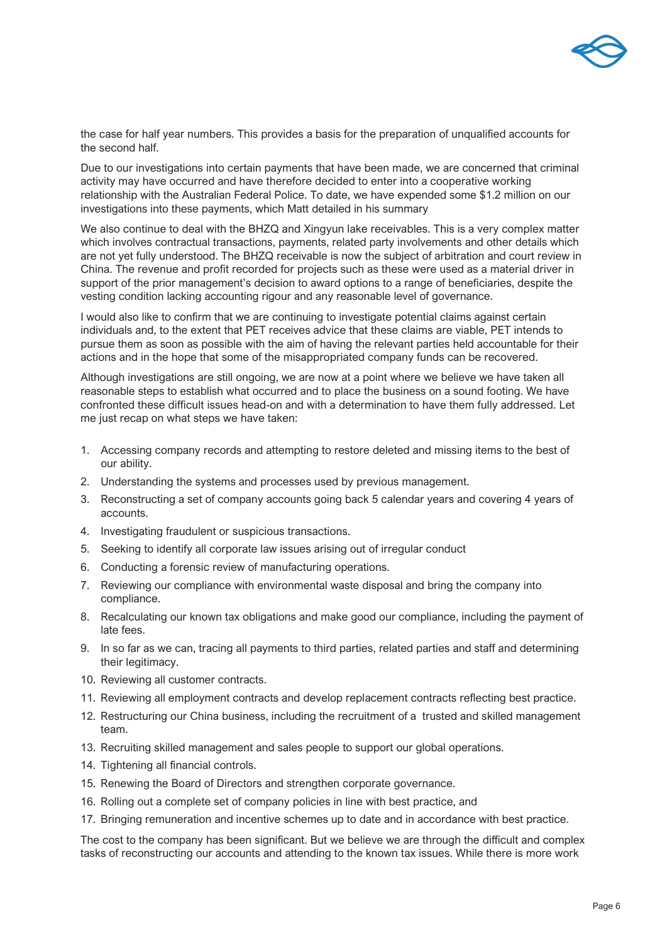

the case for half year numbers. This provides a basis for the preparation of unqualified accounts for the second half.

Due to our investigations into certain payments that have been made, we are concerned that criminal activity may have occurred and have therefore decided to enter into a cooperative working relationship with the Australian Federal Police. To date, we have expended some \$1.2 million on our investigations into these payments, which Matt detailed in his summary

We also continue to deal with the BHZQ and Xingyun lake receivables. This is a very complex matter which involves contractual transactions, payments, related party involvements and other details which are not yet fully understood. The BHZQ receivable is now the subject of arbitration and court review in China. The revenue and profit recorded for projects such as these were used as a material driver in support of the prior management's decision to award options to a range of beneficiaries, despite the vesting condition lacking accounting rigour and any reasonable level of governance.

I would also like to confirm that we are continuing to investigate potential claims against certain individuals and, to the extent that PET receives advice that these claims are viable, PET intends to pursue them as soon as possible with the aim of having the relevant parties held accountable for their actions and in the hope that some of the misappropriated company funds can be recovered.

Although investigations are still ongoing, we are now at a point where we believe we have taken all reasonable steps to establish what occurred and to place the business on a sound footing. We have confronted these difficult issues head-on and with a determination to have them fully addressed. Let me just recap on what steps we have taken:

- 1. Accessing company records and attempting to restore deleted and missing items to the best of our ability.
- 2. Understanding the systems and processes used by previous management.
- 3. Reconstructing a set of company accounts going back 5 calendar years and covering 4 years of accounts.
- 4. Investigating fraudulent or suspicious transactions.
- 5. Seeking to identify all corporate law issues arising out of irregular conduct
- 6. Conducting a forensic review of manufacturing operations.
- 7. Reviewing our compliance with environmental waste disposal and bring the company into compliance.
- 8. Recalculating our known tax obligations and make good our compliance, including the payment of late fees.
- 9. In so far as we can, tracing all payments to third parties, related parties and staff and determining their legitimacy.
- 10. Reviewing all customer contracts.
- 11. Reviewing all employment contracts and develop replacement contracts reflecting best practice.
- 12. Restructuring our China business, including the recruitment of a trusted and skilled management team.
- 13. Recruiting skilled management and sales people to support our global operations.
- 14. Tightening all financial controls.
- 15. Renewing the Board of Directors and strengthen corporate governance.
- 16. Rolling out a complete set of company policies in line with best practice, and
- 17. Bringing remuneration and incentive schemes up to date and in accordance with best practice.

The cost to the company has been significant. But we believe we are through the difficult and complex tasks of reconstructing our accounts and attending to the known tax issues. While there is more work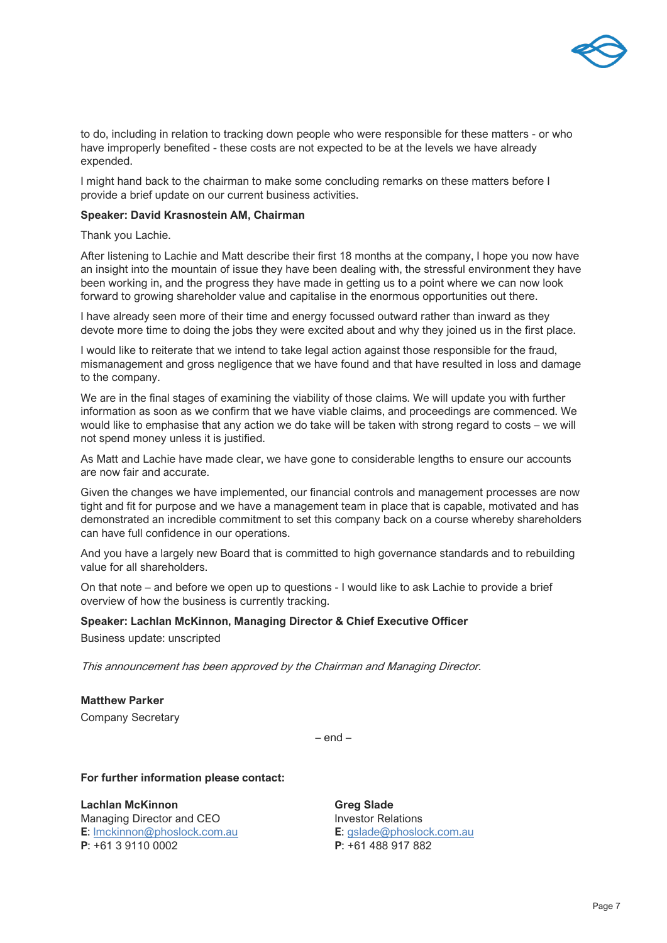

to do, including in relation to tracking down people who were responsible for these matters - or who have improperly benefited - these costs are not expected to be at the levels we have already expended.

I might hand back to the chairman to make some concluding remarks on these matters before I provide a brief update on our current business activities.

#### **Speaker: David Krasnostein AM, Chairman**

Thank you Lachie.

After listening to Lachie and Matt describe their first 18 months at the company, I hope you now have an insight into the mountain of issue they have been dealing with, the stressful environment they have been working in, and the progress they have made in getting us to a point where we can now look forward to growing shareholder value and capitalise in the enormous opportunities out there.

I have already seen more of their time and energy focussed outward rather than inward as they devote more time to doing the jobs they were excited about and why they joined us in the first place.

I would like to reiterate that we intend to take legal action against those responsible for the fraud, mismanagement and gross negligence that we have found and that have resulted in loss and damage to the company.

We are in the final stages of examining the viability of those claims. We will update you with further information as soon as we confirm that we have viable claims, and proceedings are commenced. We would like to emphasise that any action we do take will be taken with strong regard to costs – we will not spend money unless it is justified.

As Matt and Lachie have made clear, we have gone to considerable lengths to ensure our accounts are now fair and accurate.

Given the changes we have implemented, our financial controls and management processes are now tight and fit for purpose and we have a management team in place that is capable, motivated and has demonstrated an incredible commitment to set this company back on a course whereby shareholders can have full confidence in our operations.

And you have a largely new Board that is committed to high governance standards and to rebuilding value for all shareholders.

On that note – and before we open up to questions - I would like to ask Lachie to provide a brief overview of how the business is currently tracking.

#### **Speaker: Lachlan McKinnon, Managing Director & Chief Executive Officer**

Business update: unscripted

This announcement has been approved by the Chairman and Managing Director.

**Matthew Parker** Company Secretary

 $=$  end  $=$ 

**For further information please contact:**

**Lachlan McKinnon Greg Slade** Managing Director and CEO **Investor Relations E**: [lmckinnon@phoslock.com.au](mailto:lmckinnon@phoslock.com.au) **E**: [gslade@phoslock.com.au](mailto:gslade@phoslock.com.au) **P**: +61 3 9110 0002 **P**: +61 488 917 882